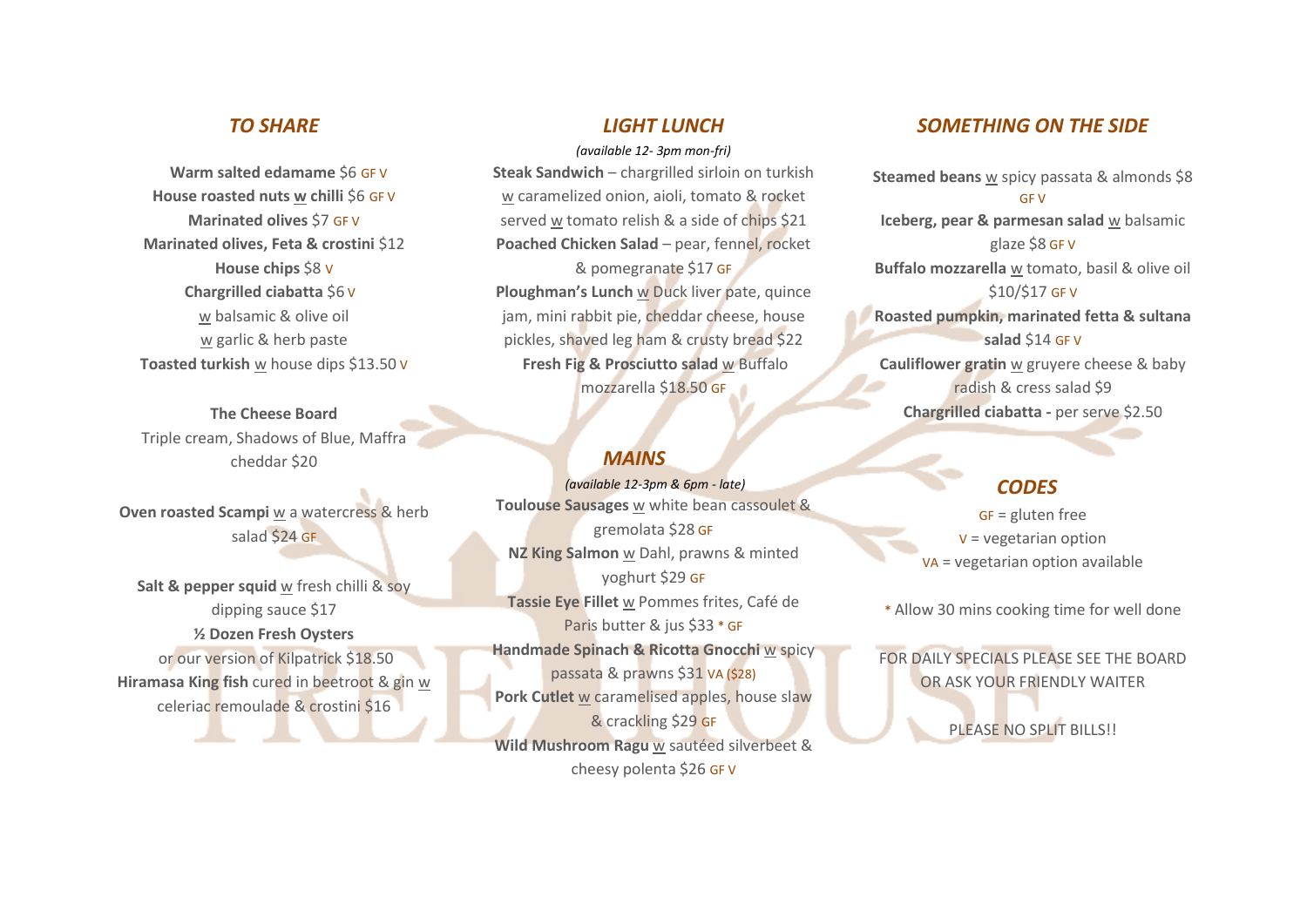## *TO SHARE*

 **Warm salted edamame** \$6 GF V **House roasted nuts w chilli** \$6 GF V **Marinated olives** \$7 GF V **Marinated olives, Feta & crostini** \$12 **House chips** \$8 V **Chargrilled ciabatta** \$6 V w balsamic & olive oil w garlic & herb paste **Toasted turkish** w house dips \$13.50 V

**The Cheese Board** Triple cream, Shadows of Blue, Maffra cheddar \$20

**Oven roasted Scampi** w a watercress & herb salad \$24 GF

**Salt & pepper squid** w fresh chilli & soy dipping sauce \$17 **½ Dozen Fresh Oysters**  or our version of Kilpatrick \$18.50 **Hiramasa King fish** cured in beetroot & gin w celeriac remoulade & crostini \$16

### *LIGHT LUNCH*

*(available 12- 3pm mon-fri)* **Steak Sandwich** – chargrilled sirloin on turkish w caramelized onion, aioli, tomato & rocket served w tomato relish & a side of chips \$21 **Poached Chicken Salad** – pear, fennel, rocket & pomegranate \$17 GF **Ploughman's Lunch** w Duck liver pate, quince jam, mini rabbit pie, cheddar cheese, house pickles, shaved leg ham & crusty bread \$22 **Fresh Fig & Prosciutto salad** w Buffalo mozzarella \$18.50 GF

## *MAINS*

*(available 12-3pm & 6pm - late)* **Toulouse Sausages** w white bean cassoulet & gremolata \$28 GF **NZ King Salmon** w Dahl, prawns & minted yoghurt \$29 GF **Tassie Eye Fillet** w Pommes frites, Café de Paris butter & jus \$33 \* GF **Handmade Spinach & Ricotta Gnocchi w spicy** passata & prawns \$31 VA (\$28) **Pork Cutlet** w caramelised apples, house slaw & crackling \$29 GF **Wild Mushroom Ragu** w sautéed silverbeet & cheesy polenta \$26 GF V

## *SOMETHING ON THE SIDE*

**Steamed beans** w spicy passata & almonds \$8 GF V **Iceberg, pear & parmesan salad** w balsamic glaze \$8 GF V **Buffalo mozzarella** w tomato, basil & olive oil \$10/\$17 GF V **Roasted pumpkin, marinated fetta & sultana salad** \$14 GF V **Cauliflower gratin** w gruyere cheese & baby radish & cress salad \$9 **Chargrilled ciabatta -** per serve \$2.50

# *CODES*

GF = gluten free V = vegetarian option VA = vegetarian option available

\* Allow 30 mins cooking time for well done

FOR DAILY SPECIALS PLEASE SEE THE BOARD OR ASK YOUR FRIENDLY WAITER

PLEASE NO SPLIT BILLS!!